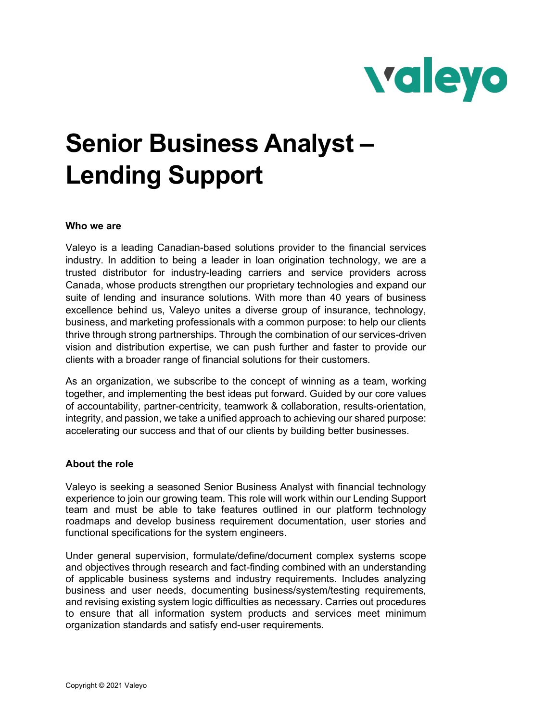

# **Senior Business Analyst – Lending Support**

### **Who we are**

Valeyo is a leading Canadian-based solutions provider to the financial services industry. In addition to being a leader in loan origination technology, we are a trusted distributor for industry-leading carriers and service providers across Canada, whose products strengthen our proprietary technologies and expand our suite of lending and insurance solutions. With more than 40 years of business excellence behind us, Valeyo unites a diverse group of insurance, technology, business, and marketing professionals with a common purpose: to help our clients thrive through strong partnerships. Through the combination of our services-driven vision and distribution expertise, we can push further and faster to provide our clients with a broader range of financial solutions for their customers.

As an organization, we subscribe to the concept of winning as a team, working together, and implementing the best ideas put forward. Guided by our core values of accountability, partner-centricity, teamwork & collaboration, results-orientation, integrity, and passion, we take a unified approach to achieving our shared purpose: accelerating our success and that of our clients by building better businesses.

#### **About the role**

Valeyo is seeking a seasoned Senior Business Analyst with financial technology experience to join our growing team. This role will work within our Lending Support team and must be able to take features outlined in our platform technology roadmaps and develop business requirement documentation, user stories and functional specifications for the system engineers.

Under general supervision, formulate/define/document complex systems scope and objectives through research and fact-finding combined with an understanding of applicable business systems and industry requirements. Includes analyzing business and user needs, documenting business/system/testing requirements, and revising existing system logic difficulties as necessary. Carries out procedures to ensure that all information system products and services meet minimum organization standards and satisfy end-user requirements.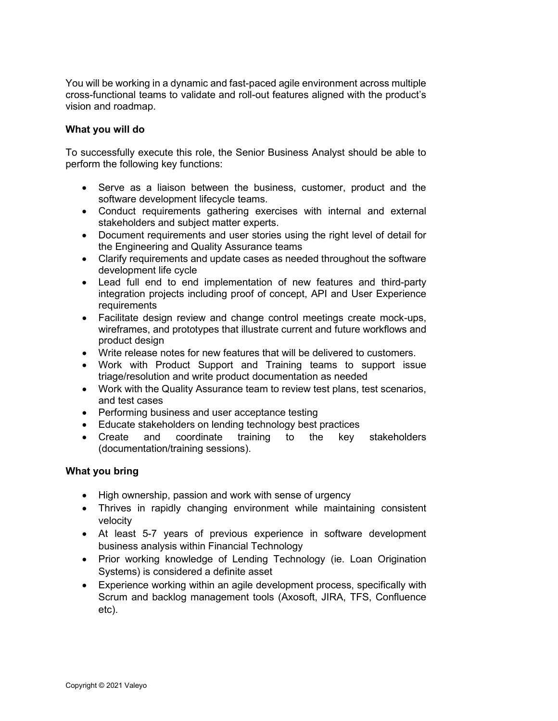You will be working in a dynamic and fast-paced agile environment across multiple cross-functional teams to validate and roll-out features aligned with the product's vision and roadmap.

## **What you will do**

To successfully execute this role, the Senior Business Analyst should be able to perform the following key functions:

- Serve as a liaison between the business, customer, product and the software development lifecycle teams.
- Conduct requirements gathering exercises with internal and external stakeholders and subject matter experts.
- Document requirements and user stories using the right level of detail for the Engineering and Quality Assurance teams
- Clarify requirements and update cases as needed throughout the software development life cycle
- Lead full end to end implementation of new features and third-party integration projects including proof of concept, API and User Experience requirements
- Facilitate design review and change control meetings create mock-ups, wireframes, and prototypes that illustrate current and future workflows and product design
- Write release notes for new features that will be delivered to customers.
- Work with Product Support and Training teams to support issue triage/resolution and write product documentation as needed
- Work with the Quality Assurance team to review test plans, test scenarios, and test cases
- Performing business and user acceptance testing
- Educate stakeholders on lending technology best practices
- Create and coordinate training to the key stakeholders (documentation/training sessions).

# **What you bring**

- High ownership, passion and work with sense of urgency
- Thrives in rapidly changing environment while maintaining consistent velocity
- At least 5-7 years of previous experience in software development business analysis within Financial Technology
- Prior working knowledge of Lending Technology (ie. Loan Origination Systems) is considered a definite asset
- Experience working within an agile development process, specifically with Scrum and backlog management tools (Axosoft, JIRA, TFS, Confluence etc).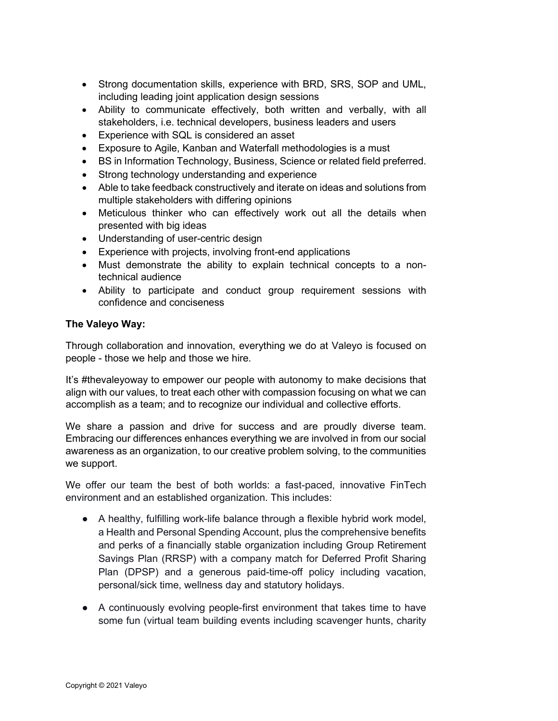- Strong documentation skills, experience with BRD, SRS, SOP and UML, including leading joint application design sessions
- Ability to communicate effectively, both written and verbally, with all stakeholders, i.e. technical developers, business leaders and users
- Experience with SQL is considered an asset
- Exposure to Agile, Kanban and Waterfall methodologies is a must
- BS in Information Technology, Business, Science or related field preferred.
- Strong technology understanding and experience
- Able to take feedback constructively and iterate on ideas and solutions from multiple stakeholders with differing opinions
- Meticulous thinker who can effectively work out all the details when presented with big ideas
- Understanding of user-centric design
- Experience with projects, involving front-end applications
- Must demonstrate the ability to explain technical concepts to a nontechnical audience
- Ability to participate and conduct group requirement sessions with confidence and conciseness

# **The Valeyo Way:**

Through collaboration and innovation, everything we do at Valeyo is focused on people - those we help and those we hire.

It's #thevaleyoway to empower our people with autonomy to make decisions that align with our values, to treat each other with compassion focusing on what we can accomplish as a team; and to recognize our individual and collective efforts.

We share a passion and drive for success and are proudly diverse team. Embracing our differences enhances everything we are involved in from our social awareness as an organization, to our creative problem solving, to the communities we support.

We offer our team the best of both worlds: a fast-paced, innovative FinTech environment and an established organization. This includes:

- A healthy, fulfilling work-life balance through a flexible hybrid work model, a Health and Personal Spending Account, plus the comprehensive benefits and perks of a financially stable organization including Group Retirement Savings Plan (RRSP) with a company match for Deferred Profit Sharing Plan (DPSP) and a generous paid-time-off policy including vacation, personal/sick time, wellness day and statutory holidays.
- A continuously evolving people-first environment that takes time to have some fun (virtual team building events including scavenger hunts, charity